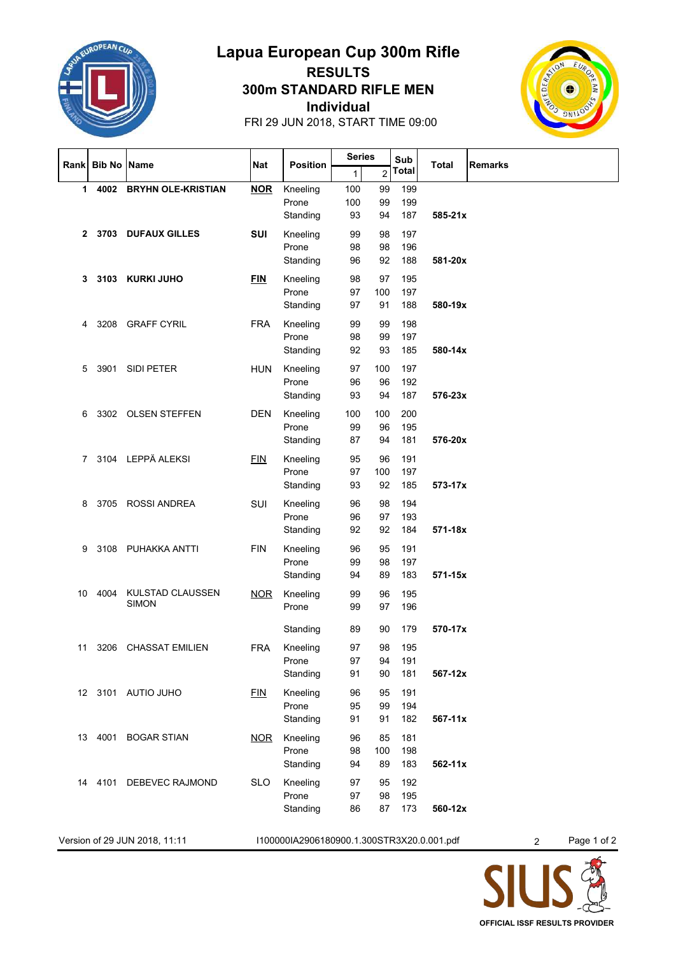

## **Lapua European Cup 300m Rifle RESULTS**

**Individual 300m STANDARD RIFLE MEN**



FRI 29 JUN 2018, START TIME 09:00

|                                                                             | Rank Bib No Name |                         | Nat        | <b>Position</b>   | <b>Series</b> |                | Sub                   |                |   |
|-----------------------------------------------------------------------------|------------------|-------------------------|------------|-------------------|---------------|----------------|-----------------------|----------------|---|
|                                                                             |                  |                         |            |                   | 1             | $\overline{2}$ | Total<br><b>Total</b> | <b>Remarks</b> |   |
| 1.                                                                          |                  | 4002 BRYHN OLE-KRISTIAN | <b>NOR</b> | Kneeling          | 100           | 99             | 199                   |                |   |
|                                                                             |                  |                         |            | Prone             | 100           | 99             | 199                   |                |   |
|                                                                             |                  |                         |            | Standing          | 93            | 94             | 187                   | 585-21x        |   |
| $\mathbf{2}$                                                                |                  | 3703 DUFAUX GILLES      | <b>SUI</b> | Kneeling          | 99            | 98             | 197                   |                |   |
|                                                                             |                  |                         |            | Prone             | 98            | 98             | 196                   |                |   |
|                                                                             |                  |                         |            | Standing          | 96            | 92             | 188                   | 581-20x        |   |
| 3                                                                           |                  | 3103 KURKI JUHO         | <b>FIN</b> | Kneeling          | 98            | 97             | 195                   |                |   |
|                                                                             |                  |                         |            | Prone             | 97            | 100            | 197                   |                |   |
|                                                                             |                  |                         |            | Standing          | 97            | 91             | 188                   | 580-19x        |   |
|                                                                             |                  |                         |            |                   |               |                |                       |                |   |
| 4                                                                           |                  | 3208 GRAFF CYRIL        | <b>FRA</b> | Kneeling          | 99            | 99             | 198                   |                |   |
|                                                                             |                  |                         |            | Prone             | 98            | 99             | 197                   |                |   |
|                                                                             |                  |                         |            | Standing          | 92            | 93             | 185                   | 580-14x        |   |
| 5                                                                           |                  | 3901 SIDI PETER         | <b>HUN</b> | Kneeling          | 97            | 100            | 197                   |                |   |
|                                                                             |                  |                         |            | Prone             | 96            | 96             | 192                   |                |   |
|                                                                             |                  |                         |            | Standing          | 93            | 94             | 187                   | 576-23x        |   |
| 6                                                                           |                  | 3302 OLSEN STEFFEN      | <b>DEN</b> | Kneeling          | 100           | 100            | 200                   |                |   |
|                                                                             |                  |                         |            | Prone             | 99            | 96             | 195                   |                |   |
|                                                                             |                  |                         |            | Standing          | 87            | 94             | 181                   | 576-20x        |   |
| 7                                                                           |                  | 3104 LEPPÄ ALEKSI       | EIN        | Kneeling          | 95            | 96             | 191                   |                |   |
|                                                                             |                  |                         |            | Prone             | 97            | 100            | 197                   |                |   |
|                                                                             |                  |                         |            | Standing          | 93            | 92             | 185                   | 573-17x        |   |
|                                                                             |                  |                         |            |                   |               |                |                       |                |   |
| 8                                                                           |                  | 3705 ROSSI ANDREA       | SUI        | Kneeling<br>Prone | 96<br>96      | 98<br>97       | 194<br>193            |                |   |
|                                                                             |                  |                         |            | Standing          | 92            | 92             | 184                   | 571-18x        |   |
|                                                                             |                  |                         |            |                   |               |                |                       |                |   |
| 9                                                                           |                  | 3108 PUHAKKA ANTTI      | <b>FIN</b> | Kneeling          | 96            | 95             | 191                   |                |   |
|                                                                             |                  |                         |            | Prone             | 99            | 98             | 197                   |                |   |
|                                                                             |                  |                         |            | Standing          | 94            | 89             | 183                   | 571-15x        |   |
| 10                                                                          | 4004             | <b>KULSTAD CLAUSSEN</b> | <b>NOR</b> | Kneeling          | 99            | 96             | 195                   |                |   |
|                                                                             |                  | <b>SIMON</b>            |            | Prone             | 99            | 97             | 196                   |                |   |
|                                                                             |                  |                         |            | Standing          | 89            | 90             | 179                   | 570-17x        |   |
|                                                                             |                  |                         |            |                   |               |                |                       |                |   |
| 11                                                                          |                  | 3206 CHASSAT EMILIEN    | <b>FRA</b> | Kneeling          | 97            | 98             | 195                   |                |   |
|                                                                             |                  |                         |            | Prone             | 97            | 94             | 191                   |                |   |
|                                                                             |                  |                         |            | Standing          | 91            | 90             | 181                   | 567-12x        |   |
|                                                                             |                  | 12 3101 AUTIO JUHO      | FIN        | Kneeling          | 96            | 95             | 191                   |                |   |
|                                                                             |                  |                         |            | Prone             | 95            | 99             | 194                   |                |   |
|                                                                             |                  |                         |            | Standing          | 91            | 91             | 182                   | 567-11x        |   |
| 13                                                                          |                  | 4001 BOGAR STIAN        | <b>NOR</b> | Kneeling          | 96            | 85             | 181                   |                |   |
|                                                                             |                  |                         |            | Prone             | 98            | 100            | 198                   |                |   |
|                                                                             |                  |                         |            | Standing          | 94            | 89             | 183                   | 562-11x        |   |
| 14                                                                          |                  | 4101 DEBEVEC RAJMOND    | <b>SLO</b> | Kneeling          | 97            | 95             | 192                   |                |   |
|                                                                             |                  |                         |            | Prone             | 97            | 98             | 195                   |                |   |
|                                                                             |                  |                         |            | Standing          | 86            | 87             | 173                   | 560-12x        |   |
|                                                                             |                  |                         |            |                   |               |                |                       |                |   |
| Version of 29 JUN 2018, 11:11<br>I100000IA2906180900.1.300STR3X20.0.001.pdf |                  |                         |            |                   |               |                |                       | Page 1 of 2    |   |
|                                                                             |                  |                         |            |                   |               |                |                       |                | 2 |